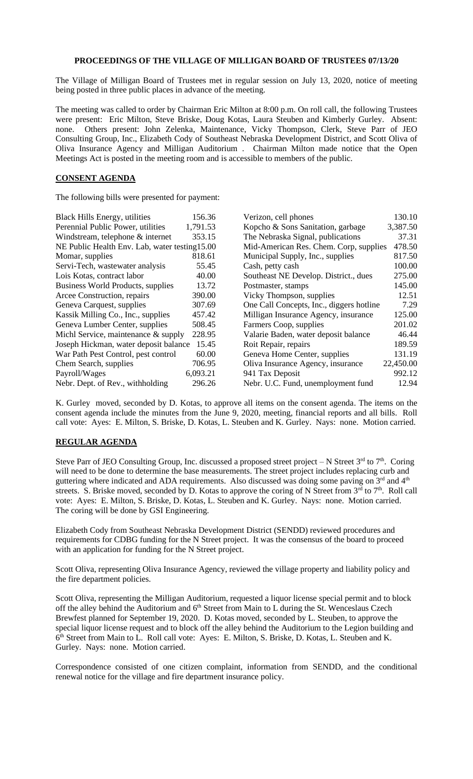## **PROCEEDINGS OF THE VILLAGE OF MILLIGAN BOARD OF TRUSTEES 07/13/20**

The Village of Milligan Board of Trustees met in regular session on July 13, 2020, notice of meeting being posted in three public places in advance of the meeting.

The meeting was called to order by Chairman Eric Milton at 8:00 p.m. On roll call, the following Trustees were present: Eric Milton, Steve Briske, Doug Kotas, Laura Steuben and Kimberly Gurley. Absent: none. Others present: John Zelenka, Maintenance, Vicky Thompson, Clerk, Steve Parr of JEO Consulting Group, Inc., Elizabeth Cody of Southeast Nebraska Development District, and Scott Oliva of Oliva Insurance Agency and Milligan Auditorium . Chairman Milton made notice that the Open Meetings Act is posted in the meeting room and is accessible to members of the public.

## **CONSENT AGENDA**

The following bills were presented for payment:

| <b>Black Hills Energy, utilities</b>           | 156.36   | Verizon, cell phones                     | 130.10    |
|------------------------------------------------|----------|------------------------------------------|-----------|
| Perennial Public Power, utilities              | 1,791.53 | Kopcho & Sons Sanitation, garbage        | 3,387.50  |
| Windstream, telephone & internet               | 353.15   | The Nebraska Signal, publications        | 37.31     |
| NE Public Health Env. Lab, water testing 15.00 |          | Mid-American Res. Chem. Corp, supplies   | 478.50    |
| Momar, supplies                                | 818.61   | Municipal Supply, Inc., supplies         | 817.50    |
| Servi-Tech, wastewater analysis                | 55.45    | Cash, petty cash                         | 100.00    |
| Lois Kotas, contract labor                     | 40.00    | Southeast NE Develop. District., dues    | 275.00    |
| Business World Products, supplies              | 13.72    | Postmaster, stamps                       | 145.00    |
| Arcee Construction, repairs                    | 390.00   | Vicky Thompson, supplies                 | 12.51     |
| Geneva Carquest, supplies                      | 307.69   | One Call Concepts, Inc., diggers hotline | 7.29      |
| Kassik Milling Co., Inc., supplies             | 457.42   | Milligan Insurance Agency, insurance     | 125.00    |
| Geneva Lumber Center, supplies                 | 508.45   | Farmers Coop, supplies                   | 201.02    |
| Michl Service, maintenance & supply            | 228.95   | Valarie Baden, water deposit balance     | 46.44     |
| Joseph Hickman, water deposit balance          | 15.45    | Roit Repair, repairs                     | 189.59    |
| War Path Pest Control, pest control            | 60.00    | Geneva Home Center, supplies             | 131.19    |
| Chem Search, supplies                          | 706.95   | Oliva Insurance Agency, insurance        | 22,450.00 |
| Payroll/Wages                                  | 6,093.21 | 941 Tax Deposit                          | 992.12    |
| Nebr. Dept. of Rev., withholding               | 296.26   | Nebr. U.C. Fund, unemployment fund       | 12.94     |

K. Gurley moved, seconded by D. Kotas, to approve all items on the consent agenda. The items on the consent agenda include the minutes from the June 9, 2020, meeting, financial reports and all bills. Roll call vote: Ayes: E. Milton, S. Briske, D. Kotas, L. Steuben and K. Gurley. Nays: none. Motion carried.

## **REGULAR AGENDA**

Steve Parr of JEO Consulting Group, Inc. discussed a proposed street project  $-$  N Street  $3<sup>rd</sup>$  to  $7<sup>th</sup>$ . Coring will need to be done to determine the base measurements. The street project includes replacing curb and guttering where indicated and ADA requirements. Also discussed was doing some paving on  $3<sup>rd</sup>$  and  $4<sup>th</sup>$ streets. S. Briske moved, seconded by D. Kotas to approve the coring of N Street from  $3<sup>rd</sup>$  to  $7<sup>th</sup>$ . Roll call vote: Ayes: E. Milton, S. Briske, D. Kotas, L. Steuben and K. Gurley. Nays: none. Motion carried. The coring will be done by GSI Engineering.

Elizabeth Cody from Southeast Nebraska Development District (SENDD) reviewed procedures and requirements for CDBG funding for the N Street project. It was the consensus of the board to proceed with an application for funding for the N Street project.

Scott Oliva, representing Oliva Insurance Agency, reviewed the village property and liability policy and the fire department policies.

Scott Oliva, representing the Milligan Auditorium, requested a liquor license special permit and to block off the alley behind the Auditorium and 6<sup>th</sup> Street from Main to L during the St. Wenceslaus Czech Brewfest planned for September 19, 2020. D. Kotas moved, seconded by L. Steuben, to approve the special liquor license request and to block off the alley behind the Auditorium to the Legion building and 6<sup>th</sup> Street from Main to L. Roll call vote: Ayes: E. Milton, S. Briske, D. Kotas, L. Steuben and K. Gurley. Nays: none. Motion carried.

Correspondence consisted of one citizen complaint, information from SENDD, and the conditional renewal notice for the village and fire department insurance policy.